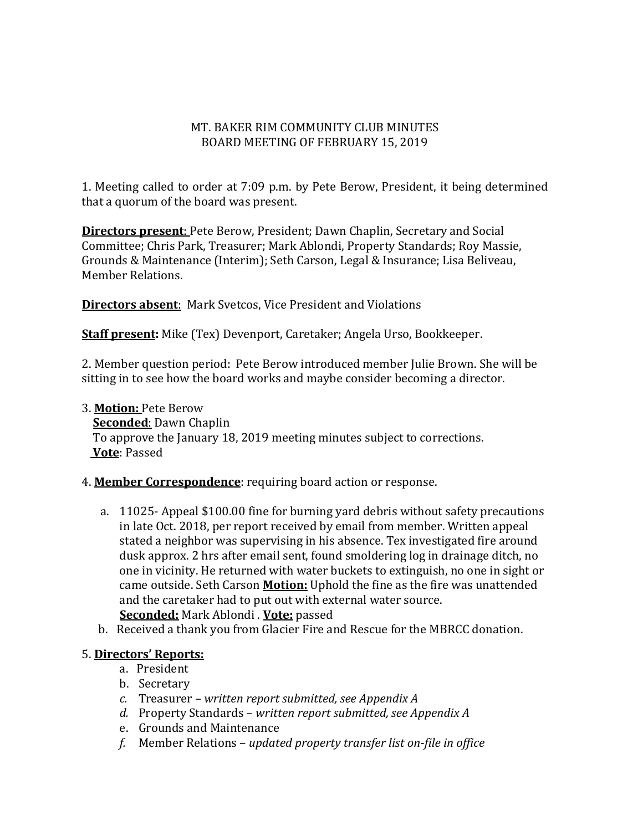#### MT. BAKER RIM COMMUNITY CLUB MINUTES BOARD MEETING OF FEBRUARY 15, 2019

1. Meeting called to order at 7:09 p.m. by Pete Berow, President, it being determined that a quorum of the board was present.

**Directors present**: Pete Berow, President; Dawn Chaplin, Secretary and Social Committee; Chris Park, Treasurer; Mark Ablondi, Property Standards; Roy Massie, Grounds & Maintenance (Interim); Seth Carson, Legal & Insurance; Lisa Beliveau, Member Relations.

**Directors absent**: Mark Svetcos, Vice President and Violations

**Staff present:** Mike (Tex) Devenport, Caretaker; Angela Urso, Bookkeeper.

2. Member question period: Pete Berow introduced member Julie Brown. She will be sitting in to see how the board works and maybe consider becoming a director.

#### 3. **Motion:** Pete Berow **Seconded**: Dawn Chaplin To approve the January 18, 2019 meeting minutes subject to corrections. **Vote**: Passed

## 4. **Member Correspondence**: requiring board action or response.

- a. 11025- Appeal \$100.00 fine for burning yard debris without safety precautions in late Oct. 2018, per report received by email from member. Written appeal stated a neighbor was supervising in his absence. Tex investigated fire around dusk approx. 2 hrs after email sent, found smoldering log in drainage ditch, no one in vicinity. He returned with water buckets to extinguish, no one in sight or came outside. Seth Carson **Motion:** Uphold the fine as the fire was unattended and the caretaker had to put out with external water source. **Seconded:** Mark Ablondi . **Vote:** passed
- b. Received a thank you from Glacier Fire and Rescue for the MBRCC donation.

#### 5. **Directors' Reports:**

- a. President
- b. Secretary
- *c.* Treasurer *written report submitted, see Appendix A*
- *d.* Property Standards *written report submitted, see Appendix A*
- e. Grounds and Maintenance
- *f.* Member Relations *updated property transfer list on-file in office*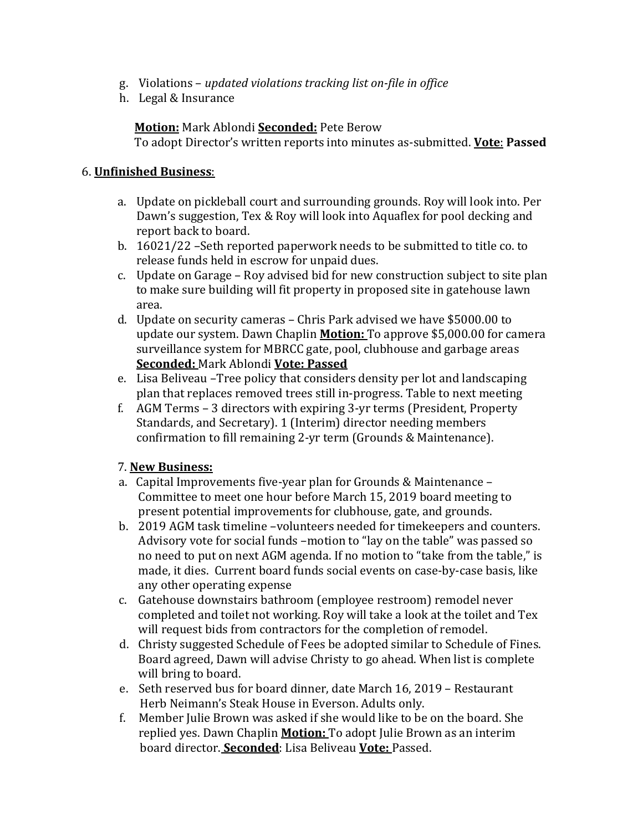- g. Violations *updated violations tracking list on-file in office*
- h. Legal & Insurance

## **Motion:** Mark Ablondi **Seconded:** Pete Berow

To adopt Director's written reports into minutes as-submitted. **Vote**: **Passed**

#### 6. **Unfinished Business**:

- a. Update on pickleball court and surrounding grounds. Roy will look into. Per Dawn's suggestion, Tex & Roy will look into Aquaflex for pool decking and report back to board.
- b. 16021/22 –Seth reported paperwork needs to be submitted to title co. to release funds held in escrow for unpaid dues.
- c. Update on Garage Roy advised bid for new construction subject to site plan to make sure building will fit property in proposed site in gatehouse lawn area.
- d. Update on security cameras Chris Park advised we have \$5000.00 to update our system. Dawn Chaplin **Motion:** To approve \$5,000.00 for camera surveillance system for MBRCC gate, pool, clubhouse and garbage areas **Seconded:** Mark Ablondi **Vote: Passed**
- e. Lisa Beliveau –Tree policy that considers density per lot and landscaping plan that replaces removed trees still in-progress. Table to next meeting
- f. AGM Terms 3 directors with expiring 3-yr terms (President, Property Standards, and Secretary). 1 (Interim) director needing members confirmation to fill remaining 2-yr term (Grounds & Maintenance).

## 7. **New Business:**

- a. Capital Improvements five-year plan for Grounds & Maintenance Committee to meet one hour before March 15, 2019 board meeting to present potential improvements for clubhouse, gate, and grounds.
- b. 2019 AGM task timeline –volunteers needed for timekeepers and counters. Advisory vote for social funds –motion to "lay on the table" was passed so no need to put on next AGM agenda. If no motion to "take from the table," is made, it dies. Current board funds social events on case-by-case basis, like any other operating expense
- c. Gatehouse downstairs bathroom (employee restroom) remodel never completed and toilet not working. Roy will take a look at the toilet and Tex will request bids from contractors for the completion of remodel.
- d. Christy suggested Schedule of Fees be adopted similar to Schedule of Fines. Board agreed, Dawn will advise Christy to go ahead. When list is complete will bring to board.
- e. Seth reserved bus for board dinner, date March 16, 2019 Restaurant Herb Neimann's Steak House in Everson. Adults only.
- Member Julie Brown was asked if she would like to be on the board. She replied yes. Dawn Chaplin **Motion:** To adopt Julie Brown as an interim board director. **Seconded**: Lisa Beliveau **Vote:** Passed.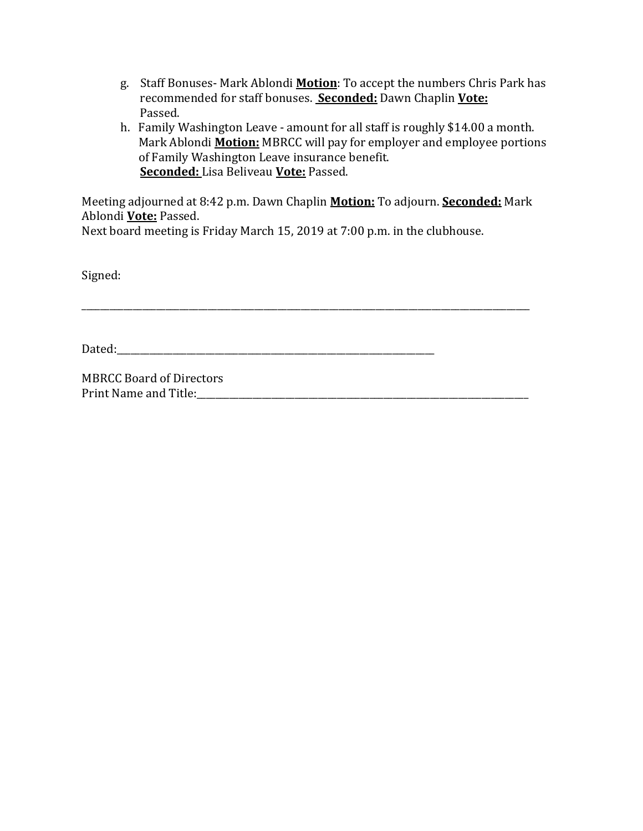- g. Staff Bonuses- Mark Ablondi **Motion**: To accept the numbers Chris Park has recommended for staff bonuses. **Seconded:** Dawn Chaplin **Vote:** Passed.
- h. Family Washington Leave amount for all staff is roughly \$14.00 a month. Mark Ablondi **Motion:** MBRCC will pay for employer and employee portions of Family Washington Leave insurance benefit. **Seconded:** Lisa Beliveau **Vote:** Passed.

Meeting adjourned at 8:42 p.m. Dawn Chaplin **Motion:** To adjourn. **Seconded:** Mark Ablondi **Vote:** Passed.

\_\_\_\_\_\_\_\_\_\_\_\_\_\_\_\_\_\_\_\_\_\_\_\_\_\_\_\_\_\_\_\_\_\_\_\_\_\_\_\_\_\_\_\_\_\_\_\_\_\_\_\_\_\_\_\_\_\_\_\_\_\_\_\_\_\_\_\_\_\_\_\_\_\_\_\_\_\_\_\_\_\_\_\_\_\_\_\_\_\_\_\_\_\_\_\_

Next board meeting is Friday March 15, 2019 at 7:00 p.m. in the clubhouse.

Signed:

 $Dated:$ 

MBRCC Board of Directors Print Name and Title: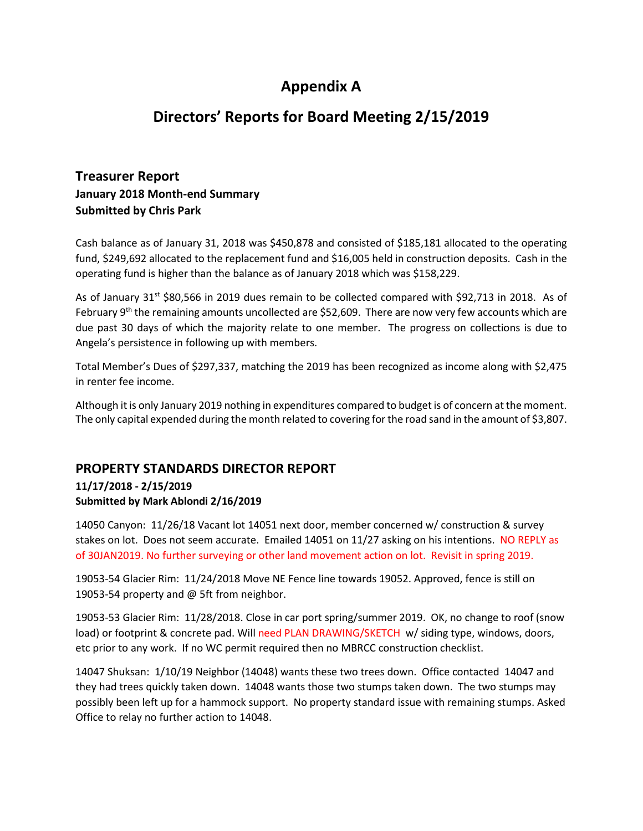# **Appendix A**

## **Directors' Reports for Board Meeting 2/15/2019**

## **Treasurer Report January 2018 Month-end Summary Submitted by Chris Park**

Cash balance as of January 31, 2018 was \$450,878 and consisted of \$185,181 allocated to the operating fund, \$249,692 allocated to the replacement fund and \$16,005 held in construction deposits. Cash in the operating fund is higher than the balance as of January 2018 which was \$158,229.

As of January 31<sup>st</sup> \$80,566 in 2019 dues remain to be collected compared with \$92,713 in 2018. As of February 9<sup>th</sup> the remaining amounts uncollected are \$52,609. There are now very few accounts which are due past 30 days of which the majority relate to one member. The progress on collections is due to Angela's persistence in following up with members.

Total Member's Dues of \$297,337, matching the 2019 has been recognized as income along with \$2,475 in renter fee income.

Although it is only January 2019 nothing in expenditures compared to budget is of concern at the moment. The only capital expended during the month related to covering for the road sand in the amount of \$3,807.

## **PROPERTY STANDARDS DIRECTOR REPORT**

#### **11/17/2018 - 2/15/2019 Submitted by Mark Ablondi 2/16/2019**

14050 Canyon: 11/26/18 Vacant lot 14051 next door, member concerned w/ construction & survey stakes on lot. Does not seem accurate. Emailed 14051 on 11/27 asking on his intentions. NO REPLY as of 30JAN2019. No further surveying or other land movement action on lot. Revisit in spring 2019.

19053-54 Glacier Rim: 11/24/2018 Move NE Fence line towards 19052. Approved, fence is still on 19053-54 property and @ 5ft from neighbor.

19053-53 Glacier Rim: 11/28/2018. Close in car port spring/summer 2019. OK, no change to roof (snow load) or footprint & concrete pad. Will need PLAN DRAWING/SKETCH w/ siding type, windows, doors, etc prior to any work. If no WC permit required then no MBRCC construction checklist.

14047 Shuksan: 1/10/19 Neighbor (14048) wants these two trees down. Office contacted 14047 and they had trees quickly taken down. 14048 wants those two stumps taken down. The two stumps may possibly been left up for a hammock support. No property standard issue with remaining stumps. Asked Office to relay no further action to 14048.